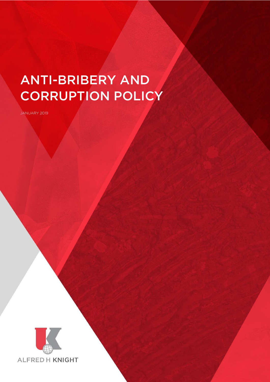# COPPLIPTION POLIC CORRECTED FOR THE CORRECTED FOR THE CORRECTED FOR THE CORRECTED FOR THE CORRECTED FOR THE CORRECTED FOR THE CORRECTED FOR THE CORRECTED FOR THE CORRECTED FOR THE CORRECTED FOR THE CORRECTED FOR THE CORRECTED FOR THE CORREC

JANUARY 2019

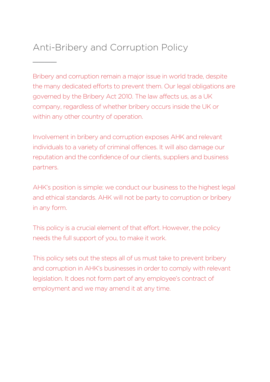### Anti-Bribery and Corruption Policy  $\mathcal{L}$

Bribery and corruption remain a major issue in world trade, despite the many dedicated efforts to prevent them. Our legal obligations are governed by the Bribery Act 2010. The law affects us, as a UK company, regardless of whether bribery occurs inside the UK or within any other country of operation.

Involvement in bribery and corruption exposes AHK and relevant individuals to a variety of criminal offences. It will also damage our reputation and the confidence of our clients, suppliers and business partners.

AHK's position is simple: we conduct our business to the highest legal and ethical standards. AHK will not be party to corruption or bribery in any form.

This policy is a crucial element of that effort. However, the policy needs the full support of you, to make it work.

This policy sets out the steps all of us must take to prevent bribery and corruption in AHK's businesses in order to comply with relevant legislation. It does not form part of any employee's contract of employment and we may amend it at any time.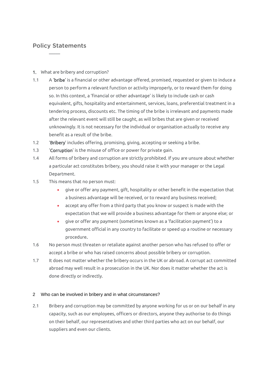## Policy Statements

 $\overline{\phantom{a}}$ 

#### 1. What are bribery and corruption?

- 1.1 A 'bribe' is a financial or other advantage offered, promised, requested or given to induce a person to perform a relevant function or activity improperly, or to reward them for doing so. In this context, a 'financial or other advantage' is likely to include cash or cash equivalent, gifts, hospitality and entertainment, services, loans, preferential treatment in a tendering process, discounts etc. The timing of the bribe is irrelevant and payments made after the relevant event will still be caught, as will bribes that are given or received unknowingly. It is not necessary for the individual or organisation actually to receive any benefit as a result of the bribe.
- 1.2 'Bribery' includes offering, promising, giving, accepting or seeking a bribe.
- 1.3 'Corruption' is the misuse of office or power for private gain.
- 1.4 All forms of bribery and corruption are strictly prohibited. If you are unsure about whether a particular act constitutes bribery, you should raise it with your manager or the Legal Department.
- 1.5 This means that no person must:
	- give or offer any payment, gift, hospitality or other benefit in the expectation that a business advantage will be received, or to reward any business received;
	- accept any offer from a third party that you know or suspect is made with the expectation that we will provide a business advantage for them or anyone else; or
	- give or offer any payment (sometimes known as a 'facilitation payment') to a government official in any country to facilitate or speed up a routine or necessary procedure.
- 1.6 No person must threaten or retaliate against another person who has refused to offer or accept a bribe or who has raised concerns about possible bribery or corruption.
- 1.7 It does not matter whether the bribery occurs in the UK or abroad. A corrupt act committed abroad may well result in a prosecution in the UK. Nor does it matter whether the act is done directly or indirectly.

#### 2 Who can be involved in bribery and in what circumstances?

<span id="page-2-0"></span>2.1 Bribery and corruption may be committed by anyone working for us or on our behalf in any capacity, such as our employees, officers or directors, anyone they authorise to do things on their behalf, our representatives and other third parties who act on our behalf, our suppliers and even our clients.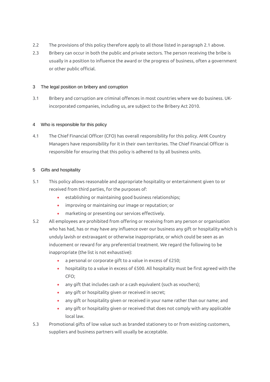- 2.2 The provisions of this policy therefore apply to all those listed in paragrap[h 2.1](#page-2-0) above.
- 2.3 Bribery can occur in both the public and private sectors. The person receiving the bribe is usually in a position to influence the award or the progress of business, often a government or other public official.

#### 3 The legal position on bribery and corruption

3.1 Bribery and corruption are criminal offences in most countries where we do business. UKincorporated companies, including us, are subject to the Bribery Act 2010.

#### 4 Who is responsible for this policy

4.1 The Chief Financial Officer (CFO) has overall responsibility for this policy. AHK Country Managers have responsibility for it in their own territories. The Chief Financial Officer is responsible for ensuring that this policy is adhered to by all business units.

#### 5 Gifts and hospitality

- 5.1 This policy allows reasonable and appropriate hospitality or entertainment given to or received from third parties, for the purposes of:
	- establishing or maintaining good business relationships;
	- improving or maintaining our image or reputation; or
	- marketing or presenting our services effectively.
- 5.2 All employees are prohibited from offering or receiving from any person or organisation who has had, has or may have any influence over our business any gift or hospitality which is unduly lavish or extravagant or otherwise inappropriate, or which could be seen as an inducement or reward for any preferential treatment. We regard the following to be inappropriate (the list is not exhaustive):
	- a personal or corporate gift to a value in excess of £250;
	- hospitality to a value in excess of £500. All hospitality must be first agreed with the CFO;
	- any gift that includes cash or a cash equivalent (such as vouchers);
	- any gift or hospitality given or received in secret;
	- any gift or hospitality given or received in your name rather than our name; and
	- any gift or hospitality given or received that does not comply with any applicable local law.
- 5.3 Promotional gifts of low value such as branded stationery to or from existing customers, suppliers and business partners will usually be acceptable.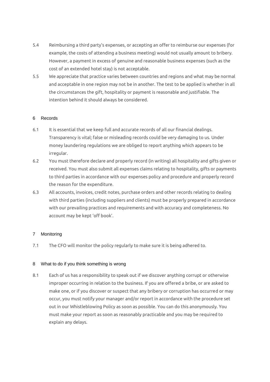- 5.4 Reimbursing a third party's expenses, or accepting an offer to reimburse our expenses (for example, the costs of attending a business meeting) would not usually amount to bribery. However, a payment in excess of genuine and reasonable business expenses (such as the cost of an extended hotel stay) is not acceptable.
- 5.5 We appreciate that practice varies between countries and regions and what may be normal and acceptable in one region may not be in another. The test to be applied is whether in all the circumstances the gift, hospitality or payment is reasonable and justifiable. The intention behind it should always be considered.

#### 6 Records

- 6.1 It is essential that we keep full and accurate records of all our financial dealings. Transparency is vital; false or misleading records could be very damaging to us. Under money laundering regulations we are obliged to report anything which appears to be irregular.
- 6.2 You must therefore declare and properly record (in writing) all hospitality and gifts given or received. You must also submit all expenses claims relating to hospitality, gifts or payments to third parties in accordance with our expenses policy and procedure and properly record the reason for the expenditure.
- 6.3 All accounts, invoices, credit notes, purchase orders and other records relating to dealing with third parties (including suppliers and clients) must be properly prepared in accordance with our prevailing practices and requirements and with accuracy and completeness. No account may be kept 'off book'.

#### 7 Monitoring

7.1 The CFO will monitor the policy regularly to make sure it is being adhered to.

#### 8 What to do if you think something is wrong

8.1 Each of us has a responsibility to speak out if we discover anything corrupt or otherwise improper occurring in relation to the business. If you are offered a bribe, or are asked to make one, or if you discover or suspect that any bribery or corruption has occurred or may occur, you must notify your manager and/or report in accordance with the procedure set out in our Whistleblowing Policy as soon as possible. You can do this anonymously. You must make your report as soon as reasonably practicable and you may be required to explain any delays.